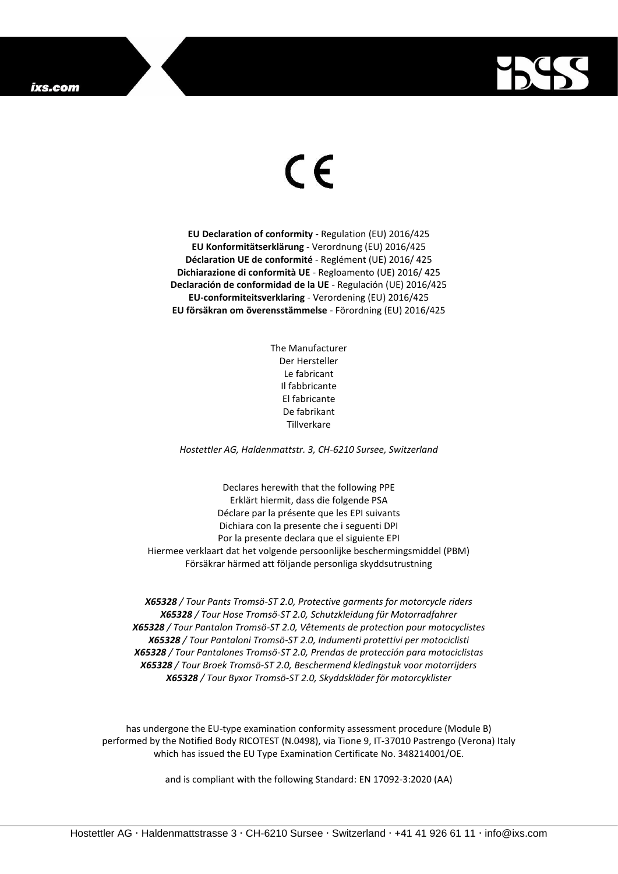## ixs.com



## $\epsilon$

**EU Declaration of conformity** - Regulation (EU) 2016/425 **EU Konformitätserklärung** - Verordnung (EU) 2016/425 **Déclaration UE de conformité** - Reglément (UE) 2016/ 425 **Dichiarazione di conformità UE** - Regloamento (UE) 2016/ 425 **Declaración de conformidad de la UE** - Regulación (UE) 2016/425 **EU-conformiteitsverklaring** - Verordening (EU) 2016/425 **EU försäkran om överensstämmelse** - Förordning (EU) 2016/425

> The Manufacturer Der Hersteller Le fabricant Il fabbricante El fabricante De fabrikant Tillverkare

*Hostettler AG, Haldenmattstr. 3, CH-6210 Sursee, Switzerland*

Declares herewith that the following PPE Erklärt hiermit, dass die folgende PSA Déclare par la présente que les EPI suivants Dichiara con la presente che i seguenti DPI Por la presente declara que el siguiente EPI Hiermee verklaart dat het volgende persoonlijke beschermingsmiddel (PBM) Försäkrar härmed att följande personliga skyddsutrustning

*X65328 / Tour Pants Tromsö-ST 2.0, Protective garments for motorcycle riders X65328 / Tour Hose Tromsö-ST 2.0, Schutzkleidung für Motorradfahrer X65328 / Tour Pantalon Tromsö-ST 2.0, Vêtements de protection pour motocyclistes X65328 / Tour Pantaloni Tromsö-ST 2.0, Indumenti protettivi per motociclisti X65328 / Tour Pantalones Tromsö-ST 2.0, Prendas de protección para motociclistas X65328 / Tour Broek Tromsö-ST 2.0, Beschermend kledingstuk voor motorrijders X65328 / Tour Byxor Tromsö-ST 2.0, Skyddskläder för motorcyklister*

has undergone the EU-type examination conformity assessment procedure (Module B) performed by the Notified Body RICOTEST (N.0498), via Tione 9, IT-37010 Pastrengo (Verona) Italy which has issued the EU Type Examination Certificate No. 348214001/OE.

and is compliant with the following Standard: EN 17092-3:2020 (AA)